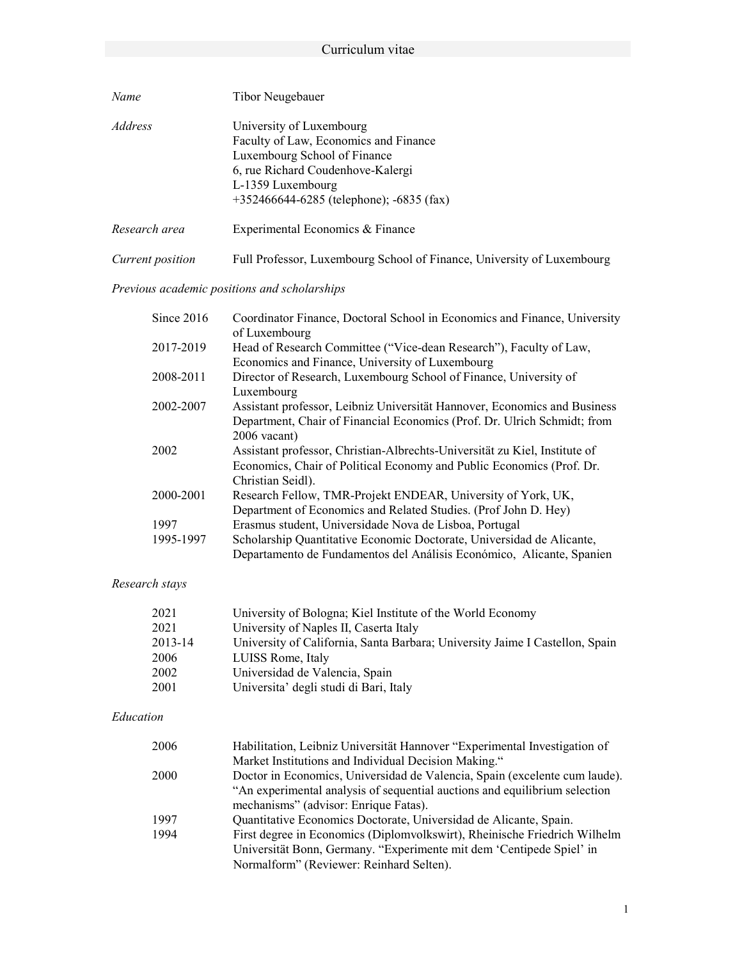| Name             | Tibor Neugebauer                                                                                                                                                                                            |
|------------------|-------------------------------------------------------------------------------------------------------------------------------------------------------------------------------------------------------------|
| Address          | University of Luxembourg<br>Faculty of Law, Economics and Finance<br>Luxembourg School of Finance<br>6, rue Richard Coudenhove-Kalergi<br>L-1359 Luxembourg<br>$+352466644-6285$ (telephone); $-6835$ (fax) |
| Research area    | Experimental Economics & Finance                                                                                                                                                                            |
| Current position | Full Professor, Luxembourg School of Finance, University of Luxembourg                                                                                                                                      |

# Previous academic positions and scholarships

| Since $2016$ | Coordinator Finance, Doctoral School in Economics and Finance, University<br>of Luxembourg                            |
|--------------|-----------------------------------------------------------------------------------------------------------------------|
| 2017-2019    | Head of Research Committee ("Vice-dean Research"), Faculty of Law,<br>Economics and Finance, University of Luxembourg |
| 2008-2011    | Director of Research, Luxembourg School of Finance, University of                                                     |
|              | Luxembourg                                                                                                            |
| 2002-2007    | Assistant professor, Leibniz Universität Hannover, Economics and Business                                             |
|              | Department, Chair of Financial Economics (Prof. Dr. Ulrich Schmidt; from                                              |
|              | $2006$ vacant)                                                                                                        |
| 2002         | Assistant professor, Christian-Albrechts-Universität zu Kiel, Institute of                                            |
|              | Economics, Chair of Political Economy and Public Economics (Prof. Dr.                                                 |
|              | Christian Seidl).                                                                                                     |
| 2000-2001    | Research Fellow, TMR-Projekt ENDEAR, University of York, UK,                                                          |
|              | Department of Economics and Related Studies. (Prof John D. Hey)                                                       |
| 1997         | Erasmus student, Universidade Nova de Lisboa, Portugal                                                                |
| 1995-1997    | Scholarship Quantitative Economic Doctorate, Universidad de Alicante,                                                 |
|              | Departamento de Fundamentos del Análisis Económico, Alicante, Spanien                                                 |

# Research stays

| 2021    | University of Bologna; Kiel Institute of the World Economy                   |
|---------|------------------------------------------------------------------------------|
| 2021    | University of Naples II, Caserta Italy                                       |
| 2013-14 | University of California, Santa Barbara; University Jaime I Castellon, Spain |
| 2006    | LUISS Rome, Italy                                                            |
| 2002    | Universidad de Valencia, Spain                                               |
| 2001    | Universita' degli studi di Bari, Italy                                       |

### Education

| 2006 | Habilitation, Leibniz Universität Hannover "Experimental Investigation of  |
|------|----------------------------------------------------------------------------|
|      | Market Institutions and Individual Decision Making."                       |
| 2000 | Doctor in Economics, Universidad de Valencia, Spain (excelente cum laude). |
|      | "An experimental analysis of sequential auctions and equilibrium selection |
|      | mechanisms" (advisor: Enrique Fatas).                                      |
| 1997 | Quantitative Economics Doctorate, Universidad de Alicante, Spain.          |
| 1994 | First degree in Economics (Diplomvolkswirt), Rheinische Friedrich Wilhelm  |
|      | Universität Bonn, Germany. "Experimente mit dem 'Centipede Spiel' in       |
|      | Normalform" (Reviewer: Reinhard Selten).                                   |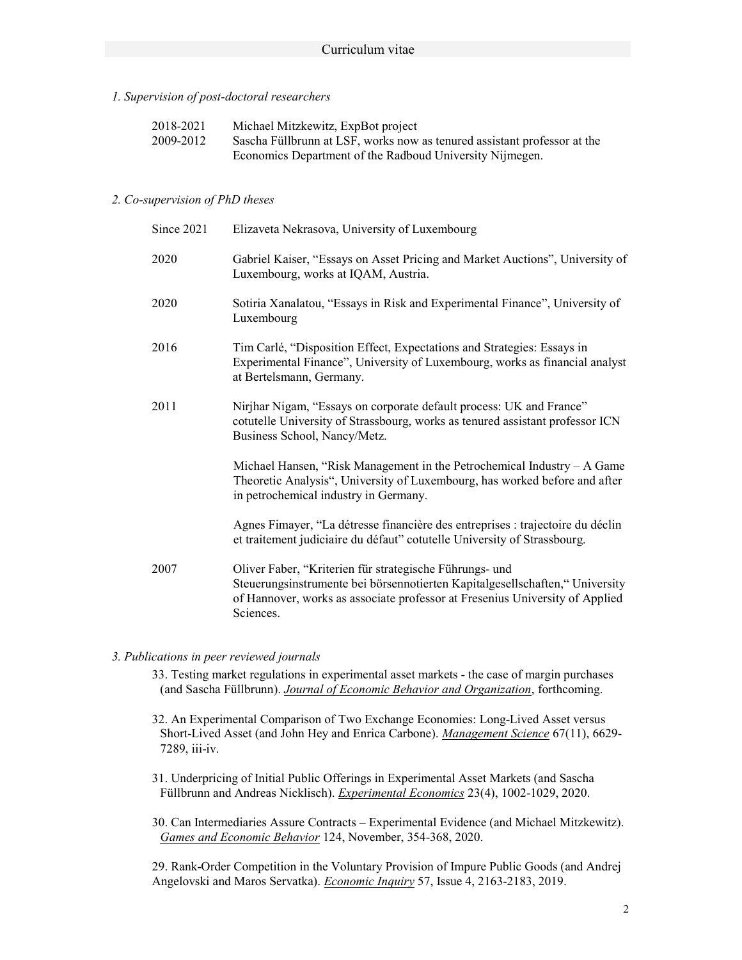#### 1. Supervision of post-doctoral researchers

| 2018-2021 | Michael Mitzkewitz, ExpBot project                                       |
|-----------|--------------------------------------------------------------------------|
| 2009-2012 | Sascha Füllbrunn at LSF, works now as tenured assistant professor at the |
|           | Economics Department of the Radboud University Nijmegen.                 |

#### 2. Co-supervision of PhD theses

| Since 2021 | Elizaveta Nekrasova, University of Luxembourg                                                                                                                                                                                        |
|------------|--------------------------------------------------------------------------------------------------------------------------------------------------------------------------------------------------------------------------------------|
| 2020       | Gabriel Kaiser, "Essays on Asset Pricing and Market Auctions", University of<br>Luxembourg, works at IQAM, Austria.                                                                                                                  |
| 2020       | Sotiria Xanalatou, "Essays in Risk and Experimental Finance", University of<br>Luxembourg                                                                                                                                            |
| 2016       | Tim Carlé, "Disposition Effect, Expectations and Strategies: Essays in<br>Experimental Finance", University of Luxembourg, works as financial analyst<br>at Bertelsmann, Germany.                                                    |
| 2011       | Nirjhar Nigam, "Essays on corporate default process: UK and France"<br>cotutelle University of Strassbourg, works as tenured assistant professor ICN<br>Business School, Nancy/Metz.                                                 |
|            | Michael Hansen, "Risk Management in the Petrochemical Industry $- A$ Game<br>Theoretic Analysis", University of Luxembourg, has worked before and after<br>in petrochemical industry in Germany.                                     |
|            | Agnes Fimayer, "La détresse financière des entreprises : trajectoire du déclin<br>et traitement judiciaire du défaut" cotutelle University of Strassbourg.                                                                           |
| 2007       | Oliver Faber, "Kriterien für strategische Führungs- und<br>Steuerungsinstrumente bei börsennotierten Kapitalgesellschaften," University<br>of Hannover, works as associate professor at Fresenius University of Applied<br>Sciences. |

#### 3. Publications in peer reviewed journals

- 33. Testing market regulations in experimental asset markets the case of margin purchases (and Sascha Füllbrunn). Journal of Economic Behavior and Organization, forthcoming.
- 32. An Experimental Comparison of Two Exchange Economies: Long-Lived Asset versus Short-Lived Asset (and John Hey and Enrica Carbone). Management Science 67(11), 6629- 7289, iii-iv.
- 31. Underpricing of Initial Public Offerings in Experimental Asset Markets (and Sascha Füllbrunn and Andreas Nicklisch). Experimental Economics 23(4), 1002-1029, 2020.
- 30. Can Intermediaries Assure Contracts Experimental Evidence (and Michael Mitzkewitz). Games and Economic Behavior 124, November, 354-368, 2020.

29. Rank-Order Competition in the Voluntary Provision of Impure Public Goods (and Andrej Angelovski and Maros Servatka). Economic Inquiry 57, Issue 4, 2163-2183, 2019.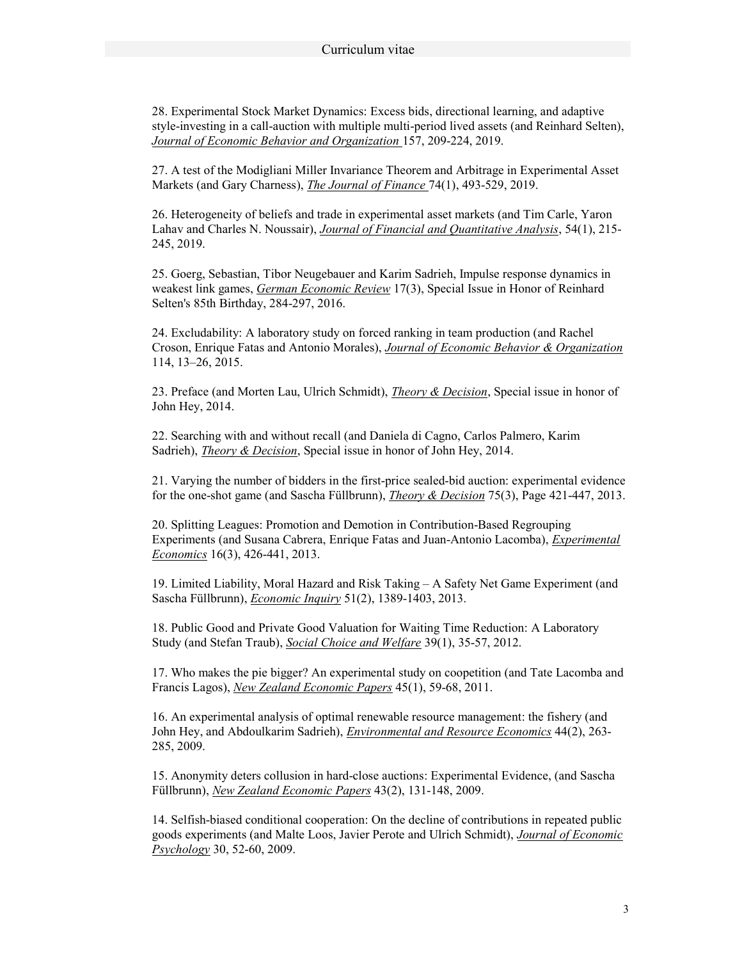28. Experimental Stock Market Dynamics: Excess bids, directional learning, and adaptive style-investing in a call-auction with multiple multi-period lived assets (and Reinhard Selten), Journal of Economic Behavior and Organization 157, 209-224, 2019.

27. A test of the Modigliani Miller Invariance Theorem and Arbitrage in Experimental Asset Markets (and Gary Charness), The Journal of Finance 74(1), 493-529, 2019.

26. Heterogeneity of beliefs and trade in experimental asset markets (and Tim Carle, Yaron Lahav and Charles N. Noussair), Journal of Financial and Quantitative Analysis, 54(1), 215- 245, 2019.

25. Goerg, Sebastian, Tibor Neugebauer and Karim Sadrieh, Impulse response dynamics in weakest link games, German Economic Review 17(3), Special Issue in Honor of Reinhard Selten's 85th Birthday, 284-297, 2016.

24. Excludability: A laboratory study on forced ranking in team production (and Rachel Croson, Enrique Fatas and Antonio Morales), Journal of Economic Behavior & Organization 114, 13–26, 2015.

23. Preface (and Morten Lau, Ulrich Schmidt), *Theory & Decision*, Special issue in honor of John Hey, 2014.

22. Searching with and without recall (and Daniela di Cagno, Carlos Palmero, Karim Sadrieh), Theory & Decision, Special issue in honor of John Hey, 2014.

21. Varying the number of bidders in the first-price sealed-bid auction: experimental evidence for the one-shot game (and Sascha Füllbrunn), Theory & Decision 75(3), Page 421-447, 2013.

20. Splitting Leagues: Promotion and Demotion in Contribution-Based Regrouping Experiments (and Susana Cabrera, Enrique Fatas and Juan-Antonio Lacomba), Experimental Economics 16(3), 426-441, 2013.

19. Limited Liability, Moral Hazard and Risk Taking – A Safety Net Game Experiment (and Sascha Füllbrunn), Economic Inquiry 51(2), 1389-1403, 2013.

18. Public Good and Private Good Valuation for Waiting Time Reduction: A Laboratory Study (and Stefan Traub), Social Choice and Welfare 39(1), 35-57, 2012.

17. Who makes the pie bigger? An experimental study on coopetition (and Tate Lacomba and Francis Lagos), New Zealand Economic Papers 45(1), 59-68, 2011.

16. An experimental analysis of optimal renewable resource management: the fishery (and John Hey, and Abdoulkarim Sadrieh), Environmental and Resource Economics 44(2), 263- 285, 2009.

15. Anonymity deters collusion in hard-close auctions: Experimental Evidence, (and Sascha Füllbrunn), New Zealand Economic Papers 43(2), 131-148, 2009.

14. Selfish-biased conditional cooperation: On the decline of contributions in repeated public goods experiments (and Malte Loos, Javier Perote and Ulrich Schmidt), Journal of Economic Psychology 30, 52-60, 2009.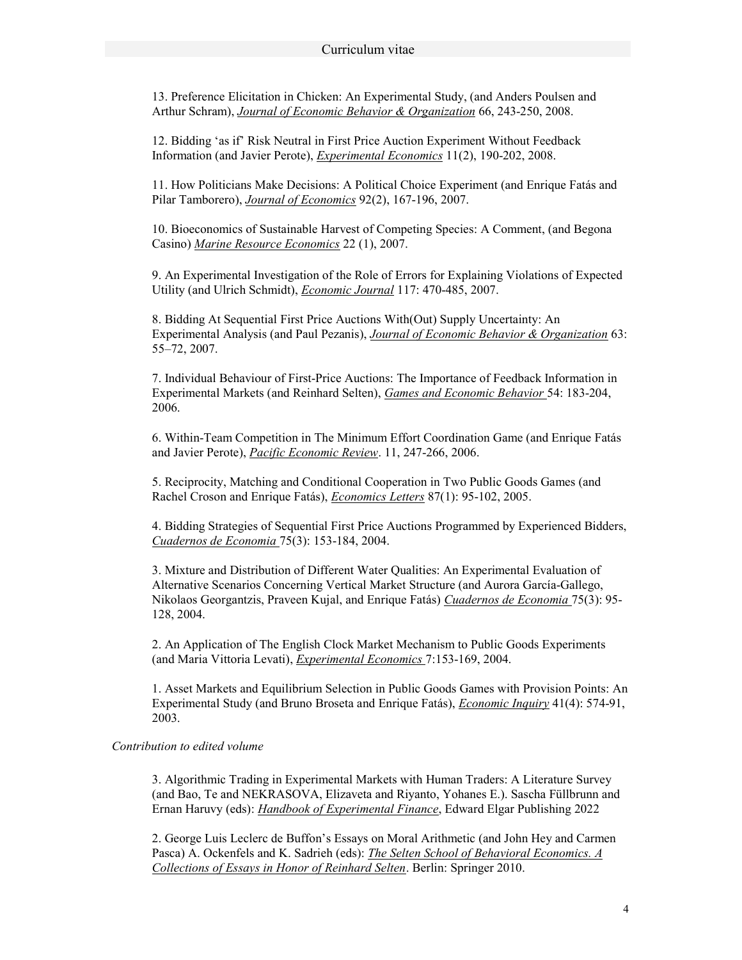13. Preference Elicitation in Chicken: An Experimental Study, (and Anders Poulsen and Arthur Schram), Journal of Economic Behavior & Organization 66, 243-250, 2008.

12. Bidding 'as if' Risk Neutral in First Price Auction Experiment Without Feedback Information (and Javier Perote), Experimental Economics 11(2), 190-202, 2008.

11. How Politicians Make Decisions: A Political Choice Experiment (and Enrique Fatás and Pilar Tamborero), Journal of Economics 92(2), 167-196, 2007.

10. Bioeconomics of Sustainable Harvest of Competing Species: A Comment, (and Begona Casino) Marine Resource Economics 22 (1), 2007.

9. An Experimental Investigation of the Role of Errors for Explaining Violations of Expected Utility (and Ulrich Schmidt), Economic Journal 117: 470-485, 2007.

8. Bidding At Sequential First Price Auctions With(Out) Supply Uncertainty: An Experimental Analysis (and Paul Pezanis), Journal of Economic Behavior & Organization 63: 55–72, 2007.

7. Individual Behaviour of First-Price Auctions: The Importance of Feedback Information in Experimental Markets (and Reinhard Selten), Games and Economic Behavior 54: 183-204, 2006.

6. Within-Team Competition in The Minimum Effort Coordination Game (and Enrique Fatás and Javier Perote), Pacific Economic Review. 11, 247-266, 2006.

5. Reciprocity, Matching and Conditional Cooperation in Two Public Goods Games (and Rachel Croson and Enrique Fatás), Economics Letters 87(1): 95-102, 2005.

4. Bidding Strategies of Sequential First Price Auctions Programmed by Experienced Bidders, Cuadernos de Economia 75(3): 153-184, 2004.

3. Mixture and Distribution of Different Water Qualities: An Experimental Evaluation of Alternative Scenarios Concerning Vertical Market Structure (and Aurora García-Gallego, Nikolaos Georgantzis, Praveen Kujal, and Enrique Fatás) *Cuadernos de Economia* 75(3): 95-128, 2004.

2. An Application of The English Clock Market Mechanism to Public Goods Experiments (and Maria Vittoria Levati), Experimental Economics 7:153-169, 2004.

1. Asset Markets and Equilibrium Selection in Public Goods Games with Provision Points: An Experimental Study (and Bruno Broseta and Enrique Fatás), Economic Inquiry 41(4): 574-91, 2003.

#### Contribution to edited volume

3. Algorithmic Trading in Experimental Markets with Human Traders: A Literature Survey (and Bao, Te and NEKRASOVA, Elizaveta and Riyanto, Yohanes E.). Sascha Füllbrunn and Ernan Haruvy (eds): Handbook of Experimental Finance, Edward Elgar Publishing 2022

2. George Luis Leclerc de Buffon's Essays on Moral Arithmetic (and John Hey and Carmen Pasca) A. Ockenfels and K. Sadrieh (eds): *The Selten School of Behavioral Economics. A* Collections of Essays in Honor of Reinhard Selten. Berlin: Springer 2010.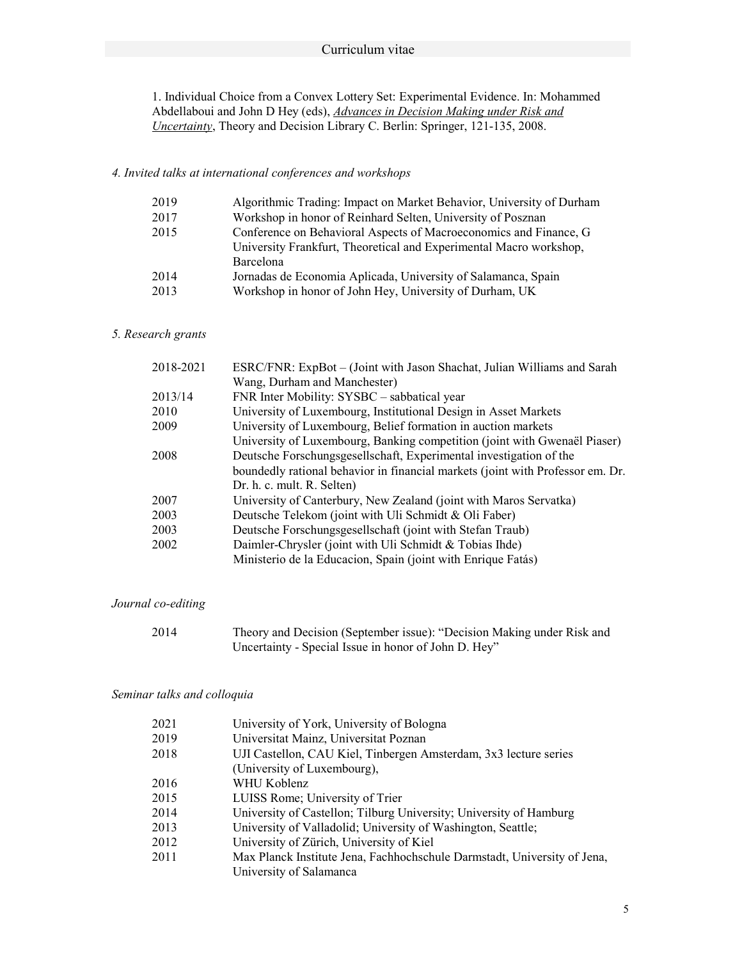#### Curriculum vitae

1. Individual Choice from a Convex Lottery Set: Experimental Evidence. In: Mohammed Abdellaboui and John D Hey (eds), *Advances in Decision Making under Risk and* Uncertainty, Theory and Decision Library C. Berlin: Springer, 121-135, 2008.

#### 4. Invited talks at international conferences and workshops

| 2019 | Algorithmic Trading: Impact on Market Behavior, University of Durham |
|------|----------------------------------------------------------------------|
| 2017 | Workshop in honor of Reinhard Selten, University of Posznan          |
| 2015 | Conference on Behavioral Aspects of Macroeconomics and Finance, G    |
|      | University Frankfurt, Theoretical and Experimental Macro workshop,   |
|      | Barcelona                                                            |
| 2014 | Jornadas de Economia Aplicada, University of Salamanca, Spain        |
| 2013 | Workshop in honor of John Hey, University of Durham, UK              |
|      |                                                                      |

### 5. Research grants

| 2018-2021 | ESRC/FNR: ExpBot - (Joint with Jason Shachat, Julian Williams and Sarah        |
|-----------|--------------------------------------------------------------------------------|
|           | Wang, Durham and Manchester)                                                   |
| 2013/14   | FNR Inter Mobility: SYSBC - sabbatical year                                    |
| 2010      | University of Luxembourg, Institutional Design in Asset Markets                |
| 2009      | University of Luxembourg, Belief formation in auction markets                  |
|           | University of Luxembourg, Banking competition (joint with Gwenaël Piaser)      |
| 2008      | Deutsche Forschungsgesellschaft, Experimental investigation of the             |
|           | boundedly rational behavior in financial markets (joint with Professor em. Dr. |
|           | Dr. h. c. mult. R. Selten)                                                     |
| 2007      | University of Canterbury, New Zealand (joint with Maros Servatka)              |
| 2003      | Deutsche Telekom (joint with Uli Schmidt & Oli Faber)                          |
| 2003      | Deutsche Forschungsgesellschaft (joint with Stefan Traub)                      |
| 2002      | Daimler-Chrysler (joint with Uli Schmidt & Tobias Ihde)                        |
|           | Ministerio de la Educacion, Spain (joint with Enrique Fatás)                   |

#### Journal co-editing

| 2014 | Theory and Decision (September issue): "Decision Making under Risk and |
|------|------------------------------------------------------------------------|
|      | Uncertainty - Special Issue in honor of John D. Hey"                   |

#### Seminar talks and colloquia

| 2021 | University of York, University of Bologna                                |
|------|--------------------------------------------------------------------------|
| 2019 | Universitat Mainz, Universitat Poznan                                    |
| 2018 | UJI Castellon, CAU Kiel, Tinbergen Amsterdam, 3x3 lecture series         |
|      | (University of Luxembourg),                                              |
| 2016 | WHU Koblenz                                                              |
| 2015 | LUISS Rome; University of Trier                                          |
| 2014 | University of Castellon; Tilburg University; University of Hamburg       |
| 2013 | University of Valladolid; University of Washington, Seattle;             |
| 2012 | University of Zürich, University of Kiel                                 |
| 2011 | Max Planck Institute Jena, Fachhochschule Darmstadt, University of Jena, |
|      | University of Salamanca                                                  |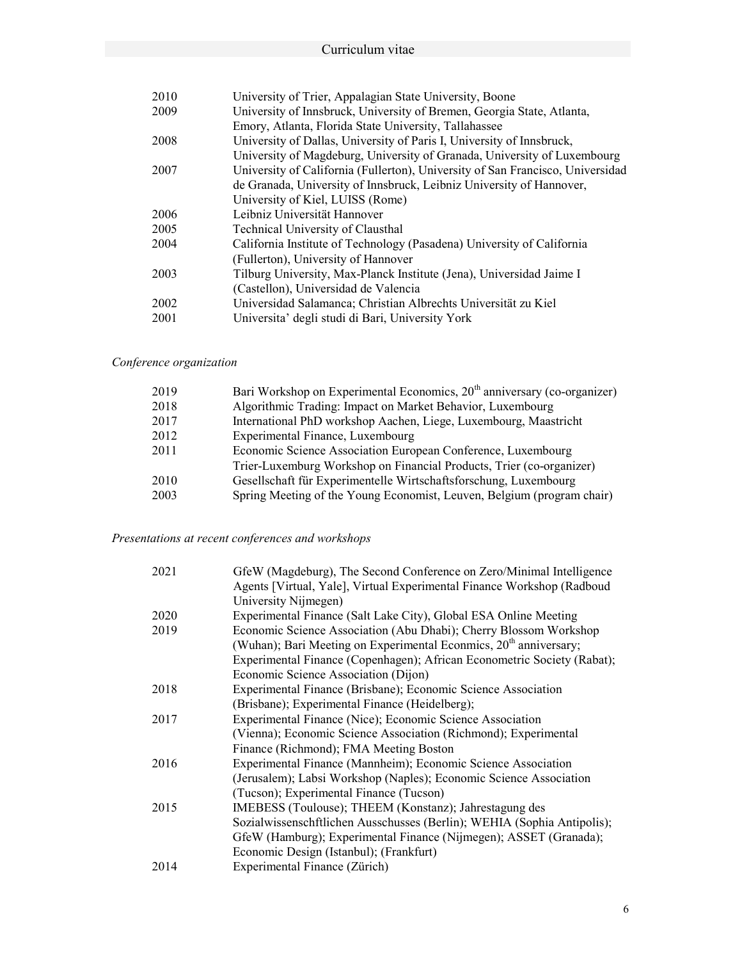| 2010 | University of Trier, Appalagian State University, Boone                        |
|------|--------------------------------------------------------------------------------|
| 2009 | University of Innsbruck, University of Bremen, Georgia State, Atlanta,         |
|      | Emory, Atlanta, Florida State University, Tallahassee                          |
| 2008 | University of Dallas, University of Paris I, University of Innsbruck,          |
|      | University of Magdeburg, University of Granada, University of Luxembourg       |
| 2007 | University of California (Fullerton), University of San Francisco, Universidad |
|      | de Granada, University of Innsbruck, Leibniz University of Hannover,           |
|      | University of Kiel, LUISS (Rome)                                               |
| 2006 | Leibniz Universität Hannover                                                   |
| 2005 | Technical University of Clausthal                                              |
| 2004 | California Institute of Technology (Pasadena) University of California         |
|      | (Fullerton), University of Hannover                                            |
| 2003 | Tilburg University, Max-Planck Institute (Jena), Universidad Jaime I           |
|      | (Castellon), Universidad de Valencia                                           |
| 2002 | Universidad Salamanca; Christian Albrechts Universität zu Kiel                 |
| 2001 | Universita' degli studi di Bari, University York                               |
|      |                                                                                |

# Conference organization

| 2019 | Bari Workshop on Experimental Economics, $20th$ anniversary (co-organizer) |
|------|----------------------------------------------------------------------------|
| 2018 | Algorithmic Trading: Impact on Market Behavior, Luxembourg                 |
| 2017 | International PhD workshop Aachen, Liege, Luxembourg, Maastricht           |
| 2012 | Experimental Finance, Luxembourg                                           |
| 2011 | Economic Science Association European Conference, Luxembourg               |
|      | Trier-Luxemburg Workshop on Financial Products, Trier (co-organizer)       |
| 2010 | Gesellschaft für Experimentelle Wirtschaftsforschung, Luxembourg           |
| 2003 | Spring Meeting of the Young Economist, Leuven, Belgium (program chair)     |

### Presentations at recent conferences and workshops

| GfeW (Magdeburg), The Second Conference on Zero/Minimal Intelligence    |
|-------------------------------------------------------------------------|
| Agents [Virtual, Yale], Virtual Experimental Finance Workshop (Radboud  |
| University Nijmegen)                                                    |
| Experimental Finance (Salt Lake City), Global ESA Online Meeting        |
| Economic Science Association (Abu Dhabi); Cherry Blossom Workshop       |
| (Wuhan); Bari Meeting on Experimental Econmics, $20th$ anniversary;     |
| Experimental Finance (Copenhagen); African Econometric Society (Rabat); |
| Economic Science Association (Dijon)                                    |
| Experimental Finance (Brisbane); Economic Science Association           |
| (Brisbane); Experimental Finance (Heidelberg);                          |
| Experimental Finance (Nice); Economic Science Association               |
| (Vienna); Economic Science Association (Richmond); Experimental         |
| Finance (Richmond); FMA Meeting Boston                                  |
| Experimental Finance (Mannheim); Economic Science Association           |
| (Jerusalem); Labsi Workshop (Naples); Economic Science Association      |
| (Tucson); Experimental Finance (Tucson)                                 |
| IMEBESS (Toulouse); THEEM (Konstanz); Jahrestagung des                  |
| Sozialwissenschftlichen Ausschusses (Berlin); WEHIA (Sophia Antipolis); |
| GfeW (Hamburg); Experimental Finance (Nijmegen); ASSET (Granada);       |
| Economic Design (Istanbul); (Frankfurt)                                 |
| Experimental Finance (Zürich)                                           |
|                                                                         |